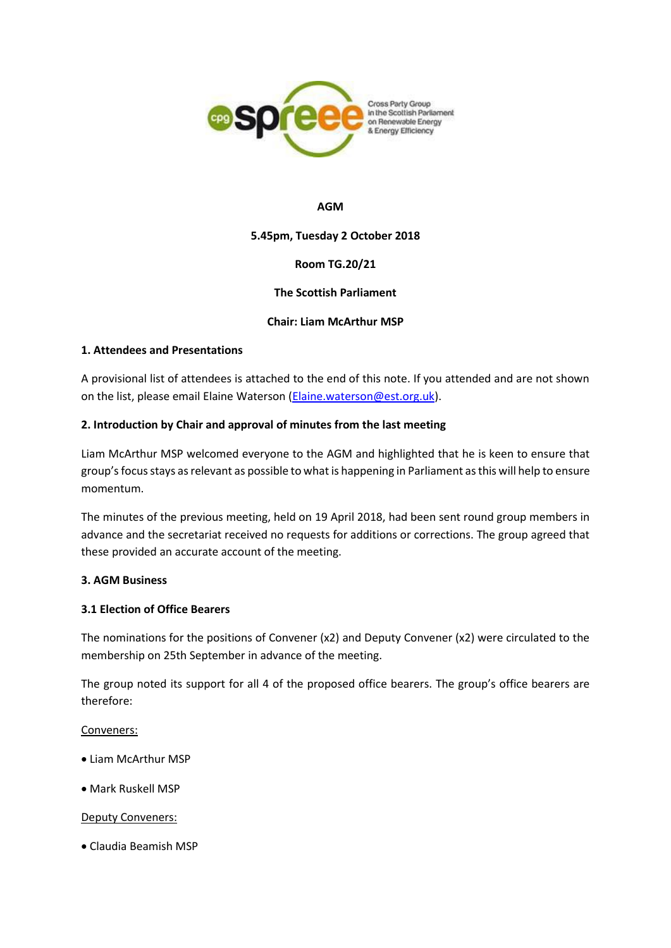

#### **AGM**

## **5.45pm, Tuesday 2 October 2018**

# **Room TG.20/21**

## **The Scottish Parliament**

## **Chair: Liam McArthur MSP**

#### **1. Attendees and Presentations**

A provisional list of attendees is attached to the end of this note. If you attended and are not shown on the list, please email Elaine Waterson [\(Elaine.waterson@est.org.uk\)](mailto:Elaine.waterson@est.org.uk).

## **2. Introduction by Chair and approval of minutes from the last meeting**

Liam McArthur MSP welcomed everyone to the AGM and highlighted that he is keen to ensure that group's focusstays as relevant as possible to what is happening in Parliament as this will help to ensure momentum.

The minutes of the previous meeting, held on 19 April 2018, had been sent round group members in advance and the secretariat received no requests for additions or corrections. The group agreed that these provided an accurate account of the meeting.

#### **3. AGM Business**

## **3.1 Election of Office Bearers**

The nominations for the positions of Convener (x2) and Deputy Convener (x2) were circulated to the membership on 25th September in advance of the meeting.

The group noted its support for all 4 of the proposed office bearers. The group's office bearers are therefore:

#### Conveners:

- Liam McArthur MSP
- Mark Ruskell MSP

#### Deputy Conveners:

• Claudia Beamish MSP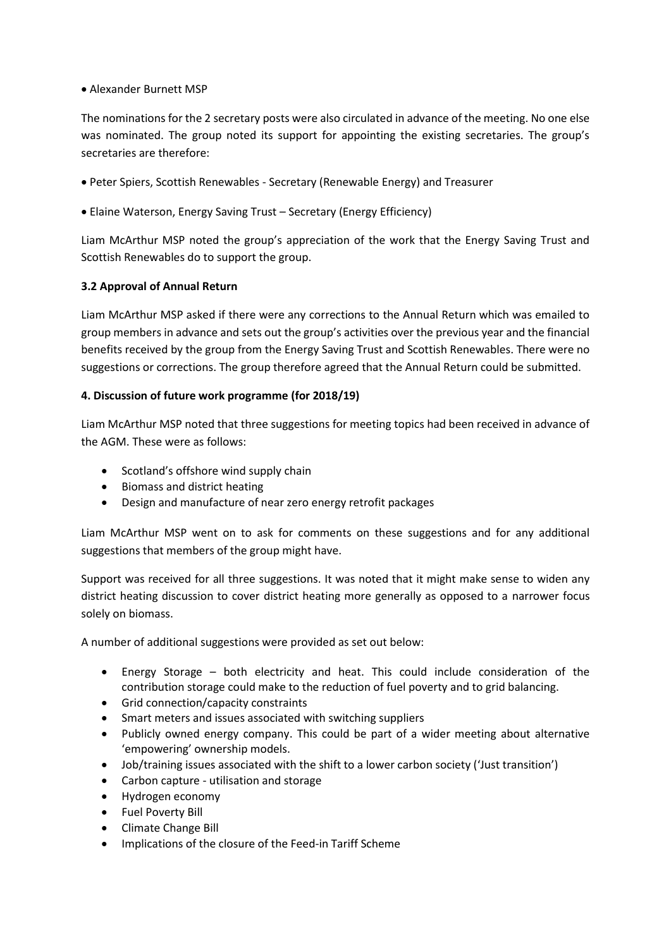## • Alexander Burnett MSP

The nominations for the 2 secretary posts were also circulated in advance of the meeting. No one else was nominated. The group noted its support for appointing the existing secretaries. The group's secretaries are therefore:

- Peter Spiers, Scottish Renewables Secretary (Renewable Energy) and Treasurer
- Elaine Waterson, Energy Saving Trust Secretary (Energy Efficiency)

Liam McArthur MSP noted the group's appreciation of the work that the Energy Saving Trust and Scottish Renewables do to support the group.

# **3.2 Approval of Annual Return**

Liam McArthur MSP asked if there were any corrections to the Annual Return which was emailed to group members in advance and sets out the group's activities over the previous year and the financial benefits received by the group from the Energy Saving Trust and Scottish Renewables. There were no suggestions or corrections. The group therefore agreed that the Annual Return could be submitted.

# **4. Discussion of future work programme (for 2018/19)**

Liam McArthur MSP noted that three suggestions for meeting topics had been received in advance of the AGM. These were as follows:

- Scotland's offshore wind supply chain
- Biomass and district heating
- Design and manufacture of near zero energy retrofit packages

Liam McArthur MSP went on to ask for comments on these suggestions and for any additional suggestions that members of the group might have.

Support was received for all three suggestions. It was noted that it might make sense to widen any district heating discussion to cover district heating more generally as opposed to a narrower focus solely on biomass.

A number of additional suggestions were provided as set out below:

- Energy Storage both electricity and heat. This could include consideration of the contribution storage could make to the reduction of fuel poverty and to grid balancing.
- Grid connection/capacity constraints
- Smart meters and issues associated with switching suppliers
- Publicly owned energy company. This could be part of a wider meeting about alternative 'empowering' ownership models.
- Job/training issues associated with the shift to a lower carbon society ('Just transition')
- Carbon capture utilisation and storage
- Hydrogen economy
- Fuel Poverty Bill
- Climate Change Bill
- Implications of the closure of the Feed-in Tariff Scheme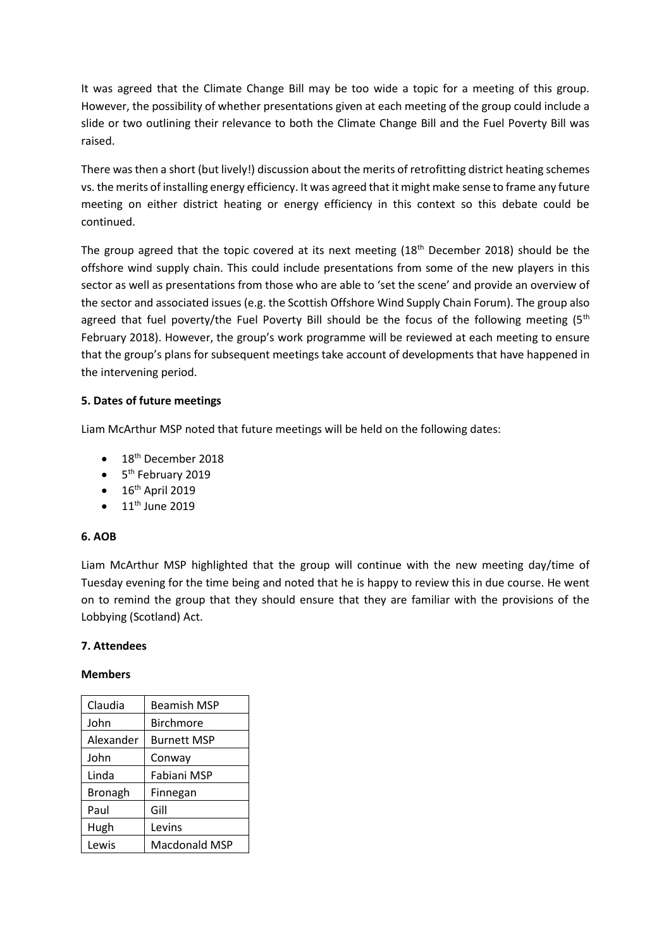It was agreed that the Climate Change Bill may be too wide a topic for a meeting of this group. However, the possibility of whether presentations given at each meeting of the group could include a slide or two outlining their relevance to both the Climate Change Bill and the Fuel Poverty Bill was raised.

There was then a short (but lively!) discussion about the merits of retrofitting district heating schemes vs. the merits of installing energy efficiency. It was agreed that it might make sense to frame any future meeting on either district heating or energy efficiency in this context so this debate could be continued.

The group agreed that the topic covered at its next meeting  $(18<sup>th</sup>$  December 2018) should be the offshore wind supply chain. This could include presentations from some of the new players in this sector as well as presentations from those who are able to 'set the scene' and provide an overview of the sector and associated issues (e.g. the Scottish Offshore Wind Supply Chain Forum). The group also agreed that fuel poverty/the Fuel Poverty Bill should be the focus of the following meeting  $(5<sup>th</sup>$ February 2018). However, the group's work programme will be reviewed at each meeting to ensure that the group's plans for subsequent meetings take account of developments that have happened in the intervening period.

# **5. Dates of future meetings**

Liam McArthur MSP noted that future meetings will be held on the following dates:

- $\bullet$  18<sup>th</sup> December 2018
- 5<sup>th</sup> February 2019
- $\bullet$  16<sup>th</sup> April 2019
- $\bullet$  11<sup>th</sup> June 2019

# **6. AOB**

Liam McArthur MSP highlighted that the group will continue with the new meeting day/time of Tuesday evening for the time being and noted that he is happy to review this in due course. He went on to remind the group that they should ensure that they are familiar with the provisions of the Lobbying (Scotland) Act.

# **7. Attendees**

#### **Members**

| Claudia   | <b>Beamish MSP</b> |
|-----------|--------------------|
| John      | <b>Birchmore</b>   |
| Alexander | <b>Burnett MSP</b> |
| John      | Conway             |
| Linda     | Fabiani MSP        |
| Bronagh   | Finnegan           |
| Paul      | Gill               |
| Hugh      | Levins             |
| Lewis     | Macdonald MSP      |